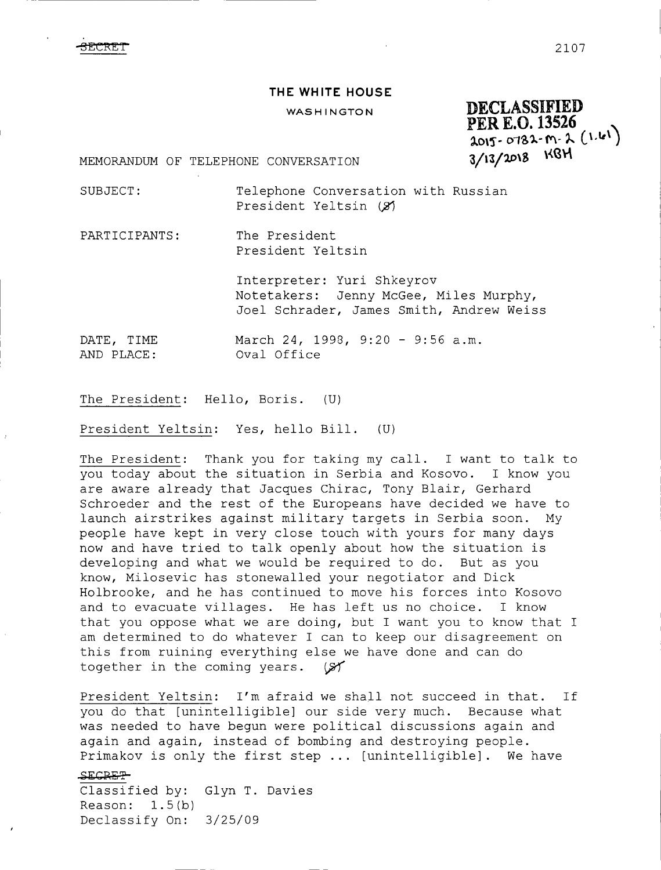$\overline{\text{BECRET}}$  2107

## THE WHITE HOUSE

## **WASH INGTON**

**DECLASSIFIED PER E.0.13526 .**  $2015 - 0782 - m - 2$  (1.61)  $3/13/2018$  KBH

MEMORANDUM OF TELEPHONE CONVERSATION

SUBJECT: Telephone Conversation with Russian President Yeltsin (2)

PARTICIPANTS: The President President Yeltsin

> Interpreter: Yuri Shkeyrov Notetakers: Jenny McGee, Miles Murphy, Joel Schrader, James Smith, Andrew Weiss

DATE, TIME AND PLACE: March 24, 1998, 9:20 - 9:56 a.m. Oval Office

The President: Hello, Boris. (U)

President Yeltsin: Yes, hello Bill. (U)

The President: Thank you for taking my call. I want to talk to you today about the situation in Serbia and Kosovo. I know you are aware already that Jacques Chirac, Tony Blair, Gerhard Schroeder and the rest of the Europeans have decided we have to launch airstrikes against military targets in Serbia soon. My people have kept in very close touch with yours for many days now and have tried to talk openly about how the situation is developing and what we would be required to do. But as you developing and what we would be required to do. know, Milosevic has stonewalled your negotiator and Dick Holbrooke, and he has continued to move his forces into Kosovo and to evacuate villages. He has left us no choice. I know that you oppose what we are doing, but I want you to know that I am determined to do whatever I can to keep our disagreement on this from ruining everything else we have done and can do together in the coming years.  $(S)$ together in the coming years.

President Yeltsin: I'm afraid we shall not succeed in that. If you do that [unintelligible] our side very much. Because what was needed to have begun were political discussions again and again and again, instead of bombing and destroying people. Primakov is only the first step ... [unintelligible]. We have  $SECREF$ 

Classified by: Glyn T. Davies Reason: 1.5(b) Declassify On: 3/25/09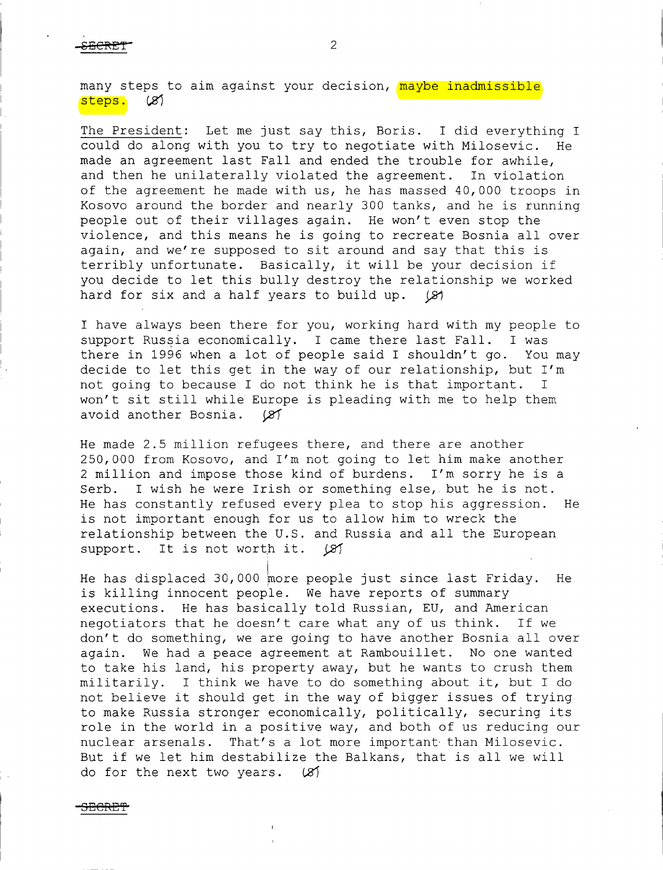-CECRET"

many steps to aim against your decision, <mark>maybe inadmissible</mark><br>Steps. (*2*) steps,

The President: Let me just say this, Boris. I did everything I could do along with you to try to negotiate with Milosevic. He made an agreement last Fall and ended the trouble for awhile,<br>and then he unilaterally violated the agreement. In violation and then he unilaterally violated the agreement. of the agreement he made with us, he has massed 40,000 troops in Kosovo around the border and nearly <sup>300</sup> tanks, and he is running people out of their villages again. He won't even stop the violence, and this means he is going to recreate Bosnia all over again, and we're supposed to sit around and say that this is terribly unfortunate. Basically, it will be your decision if you decide to let this bully destroy the relationship we worked<br>hard for six and a half years to build up. (8) hard for six and <sup>a</sup> half years to build up.

I have always been there for you, working hard with my people to support Russia economically. I came there last Fall. I was support Russia economically. I came there last Fall. there in <sup>1996</sup> when <sup>a</sup> lot of people said I shouldn't go. You may decide to let this get in the way of our relationship, but I'm<br>not going to because I do not think he is that important. I not going to because I do not think he is that important. won't sit still while Europe is pleading with me to help them<br>avoid another Bosnia.  $(X)$ avoid another Bosnia.

He made 2.5 million refugees there, and there are another 250,000 from Kosovo, and I'm not going to let him make another 2 million and impose those kind of burdens. I'm sorry he is a<br>Serb. I wish he were Irish or something else, but he is not. I wish he were Irish or something else, but he is not. He has constantly refused every plea to stop his aggression. He is not important enough for us to allow him to wreck the relationship between the U.S. and Russia and all the European support. It is not worth it.  $(X)$ support. It is not worth it.

He has displaced 30,000 more people just since last Friday. He is killing innocent people. We have reports of summary executions. He has basically told Russian, EU, and American negotiators that he doesn't care what any of us think. If we don't do something, we are going to have another Bosnia all over<br>again. We had a peace agreement at Rambouillet. No one wanted We had a peace agreement at Rambouillet. No one wanted to take his land, his property away, but he wants to crush them militarily. I think we have to do something about it, but I do not believe it should get in the way of bigger issues of trying to make Russia stronger economically, politically, securing its role in the world in a positive way, and both of us reducing our<br>nuclear arsenals. That's a lot more important than Milosevic. That's a lot more important than Milosevic. But if we let him destabilize the Balkans, that is all we will do for the next two vears.  $(X)$ do for the next two years.

3<del>EGRET</del>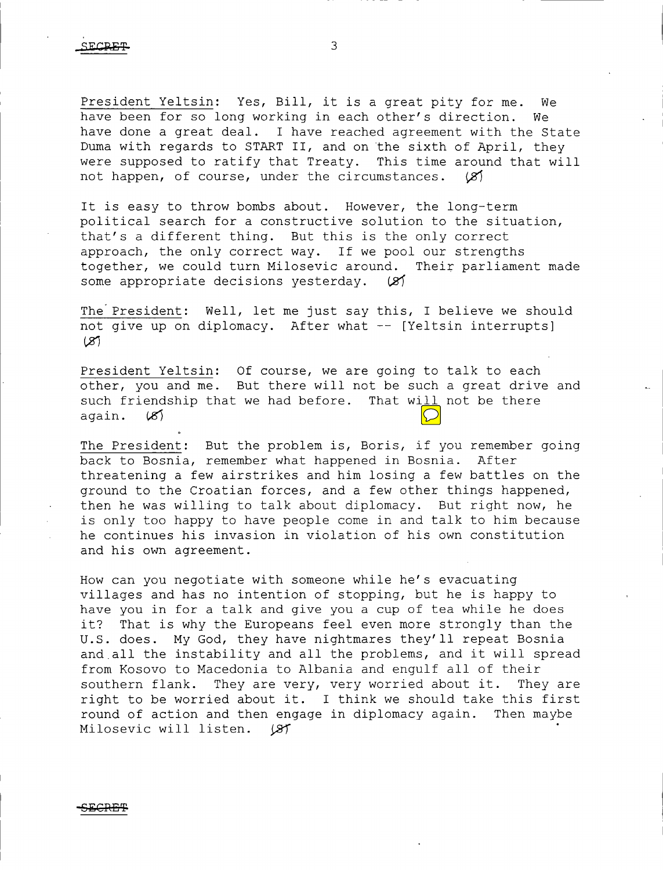President Yeltsin: Yes, Bill, it is a great pity for me. We<br>have been for so long working in each other's direction. We have been for so long working in each other's direction. have done <sup>a</sup> great deal. I have reached agreement with the State Duma with regards to START II, and on the sixth of April, they were supposed to ratify that Treaty. This time around that will not happen, of course, under the circumstances.  $(8)$ not happen, of course, under the circumstances.

It is easy to throw bombs about. However, the long-term political search for <sup>a</sup> constructive solution to the situation, that's <sup>a</sup> different thing. But this is the only correct approach, the only correct way. If we pool our strengths together, we could turn Milosevic around. Their parliament made<br>some appropriate decisions vesterday. (2) some appropriate decisions yesterday.

The President: Well, let me just say this, I believe we should not give up on diplomacy. After what -- [Yeltsin interrupts]<br>(8)

President Yeltsin: Of course, we are going to talk to each<br>sthan you and me. But theme will not be such a great duive other, you and me. But there will not be such <sup>a</sup> great drive and such friendship that we had before. That will not be there again.  $(8)$ 

The President: But the problem is, Boris, if you remember going<br>back to Bosnia, remember what happened in Bosnia. After back to Bosnia, remember what happened in Bosnia. threatening <sup>a</sup> few airstrikes and him losing <sup>a</sup> few battles on the ground to the Croatian forces, and <sup>a</sup> few other things happened, then he was willing to talk about diplomacy. But right now, he is only too happy to have people come in and talk to him because he continues his invasion in violation of his own constitution and his own agreement.

How can you negotiate with someone while he's evacuating villages and has no intention of stopping, but he is happy to have you in for <sup>a</sup> talk and give you <sup>a</sup> cup of tea while he does it? That is why the Europeans feel even more strongly than the U.S. does. My God, they have nightmares they'll repeat Bosnia and.all the instability and all the problems, and it will spread from Kosovo to Macedonia to Albania and engulf all of their<br>southern flank. They are very, very worried about it. They are They are very, very worried about it. right to be worried about it. I think we should take this first<br>round of action and then engage in diplomacy again. Then maybe round of action and then engage in diplomacy again. Milosevic will listen. (8)

-SECR&T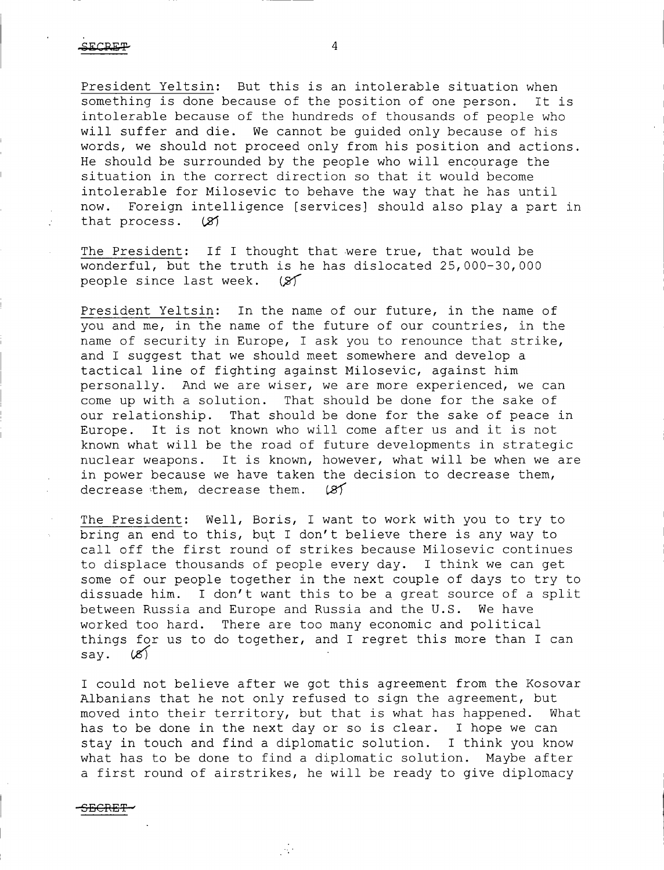President Yeltsin: But this is an intolerable situation when something is done because of the position of one person. It is intolerable because of the hundreds of thousands of people who will suffer and die. We cannot be guided only because of his words, we should not proceed only from his position and actions. He should be surrounded by the people who will encourage the situation in the correct direction so that it would become intolerable for Milosevic to behave the way that he has until Foreign intelligence [services] should also play a part in<br>process. (2) that process.

The President: If I thought that were true, that would be wonderful, but the truth is he has dislocated 25,000-30,000 people since last week. (S)

President Yeltsin: In the name of our future, in the name of *you and me, in the name of the future of our countries, in the name of security in Europe, I ask you to renounce that strike, and I suggest that we should meet somewhere and develop <sup>a</sup> tactical line of fighting against Milosevic, against him personally. 7\nd we are wiser, we are more experienced, we can come up with <sup>a</sup> solution. That should be done for the sake of our relationship. That should be done for the sake of peace in Europe. It is not known who will come after us and it is not known what will be the road of future developments in strategic nuclear weapons. It is known, however, what will be when we are in power because we have taken the decision to decrease them,*  $decrees$  *them, decrease them.* 

The President: Well, Boris, I want to work with you to try to bring an end to this, but I don't believe there is any way to call off the first round of strikes because Milosevic continues to displace thousands of people every day. I think we can get some of our people together in the next couple of days to try to dissuade him. I don't want this to be a great source of a split<br>between Russia and Europe and Russia and the U.S. We have between Russia and Europe and Russia and the U.S.<br>worked too hard. There are too many economic and There are too many economic and political things for us to do together, and I regret this more than I can say.  $(X)$ 

I could not believe after we got this agreement from the Kosovar Albanians that he not only refused to sign the agreement, but<br>moved into their territory, but that is what has happened. What moved into their territory, but that is what has happened. has to be done in the next day or so is clear. I hope we can stay in touch and find <sup>a</sup> diplomatic solution. I think you know what has to be done to find <sup>a</sup> diplomatic solution. Maybe after <sup>a</sup> first round of airstrikes, he will be ready to give diplomacy

 $\mathcal{A}^{\star}$ 

-SECRET-